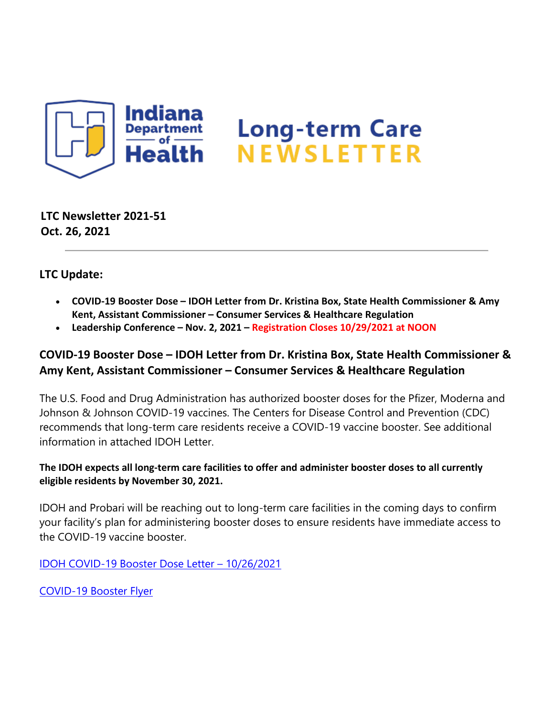

**LTC Newsletter 2021-51 Oct. 26, 2021**

**LTC Update:**

- **COVID-19 Booster Dose IDOH Letter from Dr. Kristina Box, State Health Commissioner & Amy Kent, Assistant Commissioner – Consumer Services & Healthcare Regulation**
- **Leadership Conference Nov. 2, 2021 Registration Closes 10/29/2021 at NOON**

# **COVID-19 Booster Dose – IDOH Letter from Dr. Kristina Box, State Health Commissioner & Amy Kent, Assistant Commissioner – Consumer Services & Healthcare Regulation**

The U.S. Food and Drug Administration has authorized booster doses for the Pfizer, Moderna and Johnson & Johnson COVID-19 vaccines. The Centers for Disease Control and Prevention (CDC) recommends that long-term care residents receive a COVID-19 vaccine booster. See additional information in attached IDOH Letter.

#### **The IDOH expects all long-term care facilities to offer and administer booster doses to all currently eligible residents by November 30, 2021.**

IDOH and Probari will be reaching out to long-term care facilities in the coming days to confirm your facility's plan for administering booster doses to ensure residents have immediate access to the COVID-19 vaccine booster.

[IDOH COVID-19 Booster Dose Letter – 10/26/2021](https://lnks.gd/l/eyJhbGciOiJIUzI1NiJ9.eyJidWxsZXRpbl9saW5rX2lkIjoxMDAsInVyaSI6ImJwMjpjbGljayIsImJ1bGxldGluX2lkIjoiMjAyMTEwMjYuNDc5MzUxMzEiLCJ1cmwiOiJodHRwczovL2NvbnRlbnQuZ292ZGVsaXZlcnkuY29tL2F0dGFjaG1lbnRzL0lOU0RILzIwMjEvMTAvMjYvZmlsZV9hdHRhY2htZW50cy8xOTc3MjIxL0RyLiUyMEJveCUyMCUyMEFteSUyMEtlbnQlMjAtJTIwTFRDJTIwRmFjaWxpdHklMjBCb29zdGVyJTIwTGV0dGVyX09jdG9iZXIlMjAyNiUyMDIwMjEucGRmIn0.cewq2mGHsAdFEjmPH0QntbEH37CNJhcCb9LMtLHAoyg/s/1439130268/br/114674008001-l)

[COVID-19 Booster Flyer](https://lnks.gd/l/eyJhbGciOiJIUzI1NiJ9.eyJidWxsZXRpbl9saW5rX2lkIjoxMDEsInVyaSI6ImJwMjpjbGljayIsImJ1bGxldGluX2lkIjoiMjAyMTEwMjYuNDc5MzUxMzEiLCJ1cmwiOiJodHRwczovL2NvbnRlbnQuZ292ZGVsaXZlcnkuY29tL2F0dGFjaG1lbnRzL0lOU0RILzIwMjEvMTAvMjYvZmlsZV9hdHRhY2htZW50cy8xOTc3MTU2LzIxX0NPVklEJTIwYm9vc3RlciUyMGZseWVyX1NFTklPUlMucGRmIn0.kV_xko6TRTXDXwZDWRbxWad_c7lo9mTIaPCmdvFlKPY/s/1439130268/br/114674008001-l)